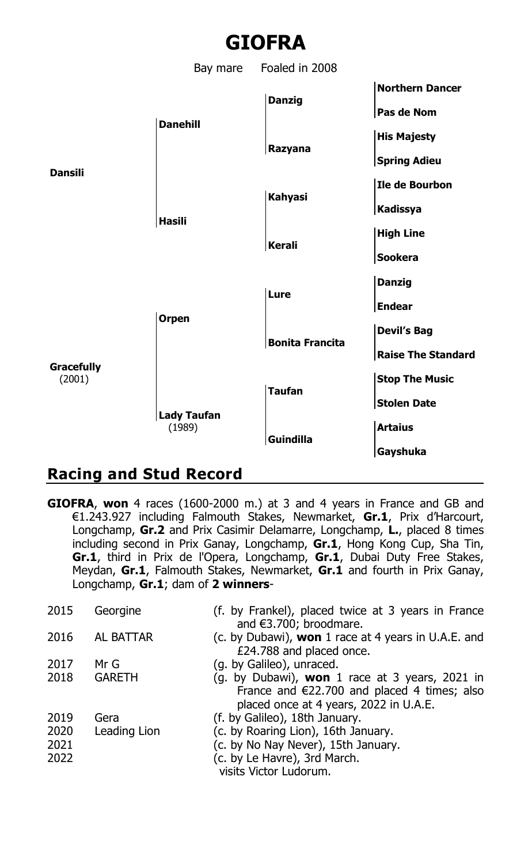

## **Racing and Stud Record**

**GIOFRA**, **won** 4 races (1600-2000 m.) at 3 and 4 years in France and GB and €1.243.927 including Falmouth Stakes, Newmarket, **Gr.1**, Prix d'Harcourt, Longchamp, **Gr.2** and Prix Casimir Delamarre, Longchamp, **L.**, placed 8 times including second in Prix Ganay, Longchamp, **Gr.1**, Hong Kong Cup, Sha Tin, **Gr.1**, third in Prix de l'Opera, Longchamp, **Gr.1**, Dubai Duty Free Stakes, Meydan, **Gr.1**, Falmouth Stakes, Newmarket, **Gr.1** and fourth in Prix Ganay, Longchamp, **Gr.1**; dam of **2 winners**-

| 2015 | Georgine     | (f. by Frankel), placed twice at 3 years in France                              |
|------|--------------|---------------------------------------------------------------------------------|
|      |              | and €3.700; broodmare.                                                          |
| 2016 | AL BATTAR    | (c. by Dubawi), won 1 race at 4 years in U.A.E. and<br>£24.788 and placed once. |
|      |              |                                                                                 |
| 2017 | Mr G         | (g. by Galileo), unraced.                                                       |
| 2018 | GARETH       | (g. by Dubawi), <b>won</b> 1 race at 3 years, 2021 in                           |
|      |              | France and $\epsilon$ 22.700 and placed 4 times; also                           |
|      |              | placed once at 4 years, 2022 in U.A.E.                                          |
| 2019 | Gera         | (f. by Galileo), 18th January.                                                  |
| 2020 | Leading Lion | (c. by Roaring Lion), 16th January.                                             |
| 2021 |              | (c. by No Nay Never), 15th January.                                             |
| 2022 |              | (c. by Le Havre), 3rd March.                                                    |
|      |              | visits Victor Ludorum.                                                          |